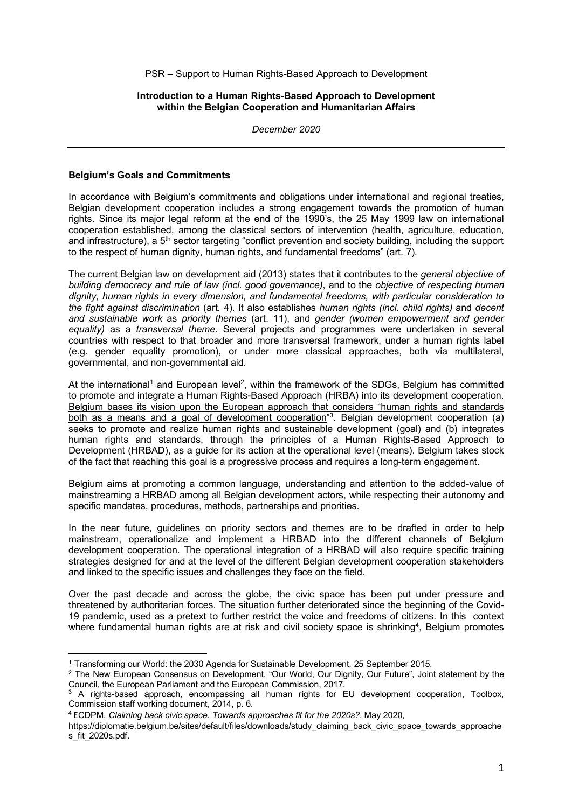PSR – Support to Human Rights-Based Approach to Development

## **Introduction to a Human Rights-Based Approach to Development within the Belgian Cooperation and Humanitarian Affairs**

*December 2020*

## **Belgium's Goals and Commitments**

 $\overline{a}$ 

In accordance with Belgium's commitments and obligations under international and regional treaties, Belgian development cooperation includes a strong engagement towards the promotion of human rights. Since its major legal reform at the end of the 1990's, the 25 May 1999 law on international cooperation established, among the classical sectors of intervention (health, agriculture, education, and infrastructure), a 5<sup>th</sup> sector targeting "conflict prevention and society building, including the support to the respect of human dignity, human rights, and fundamental freedoms" (art. 7).

The current Belgian law on development aid (2013) states that it contributes to the *general objective of building democracy and rule of law (incl. good governance)*, and to the *objective of respecting human dignity, human rights in every dimension, and fundamental freedoms, with particular consideration to the fight against discrimination* (art. 4). It also establishes *human rights (incl. child rights)* and *decent and sustainable work* as *priority themes* (art. 11), and *gender (women empowerment and gender equality)* as a *transversal theme*. Several projects and programmes were undertaken in several countries with respect to that broader and more transversal framework, under a human rights label (e.g. gender equality promotion), or under more classical approaches, both via multilateral, governmental, and non-governmental aid.

At the international<sup>1</sup> and European level<sup>2</sup>, within the framework of the SDGs, Belgium has committed to promote and integrate a Human Rights-Based Approach (HRBA) into its development cooperation. Belgium bases its vision upon the European approach that considers "human rights and standards both as a means and a goal of development cooperation"<sup>3</sup>. Belgian development cooperation (a) seeks to promote and realize human rights and sustainable development (goal) and (b) integrates human rights and standards, through the principles of a Human Rights-Based Approach to Development (HRBAD), as a guide for its action at the operational level (means). Belgium takes stock of the fact that reaching this goal is a progressive process and requires a long-term engagement.

Belgium aims at promoting a common language, understanding and attention to the added-value of mainstreaming a HRBAD among all Belgian development actors, while respecting their autonomy and specific mandates, procedures, methods, partnerships and priorities.

In the near future, guidelines on priority sectors and themes are to be drafted in order to help mainstream, operationalize and implement a HRBAD into the different channels of Belgium development cooperation. The operational integration of a HRBAD will also require specific training strategies designed for and at the level of the different Belgian development cooperation stakeholders and linked to the specific issues and challenges they face on the field.

Over the past decade and across the globe, the civic space has been put under pressure and threatened by authoritarian forces. The situation further deteriorated since the beginning of the Covid-19 pandemic, used as a pretext to further restrict the voice and freedoms of citizens. In this context where fundamental human rights are at risk and civil society space is shrinking<sup>4</sup>, Belgium promotes

<sup>1</sup> Transforming our World: the 2030 Agenda for Sustainable Development, 25 September 2015.

<sup>&</sup>lt;sup>2</sup> The New European Consensus on Development, "Our World, Our Dignity, Our Future", Joint statement by the Council, the European Parliament and the European Commission, 2017.

<sup>&</sup>lt;sup>3</sup> A rights-based approach, encompassing all human rights for EU development cooperation, Toolbox, Commission staff working document, 2014, p. 6.

<sup>4</sup> ECDPM, *Claiming back civic space. Towards approaches fit for the 2020s?*, May 2020,

https://diplomatie.belgium.be/sites/default/files/downloads/study\_claiming\_back\_civic\_space\_towards\_approache s\_fit\_2020s.pdf.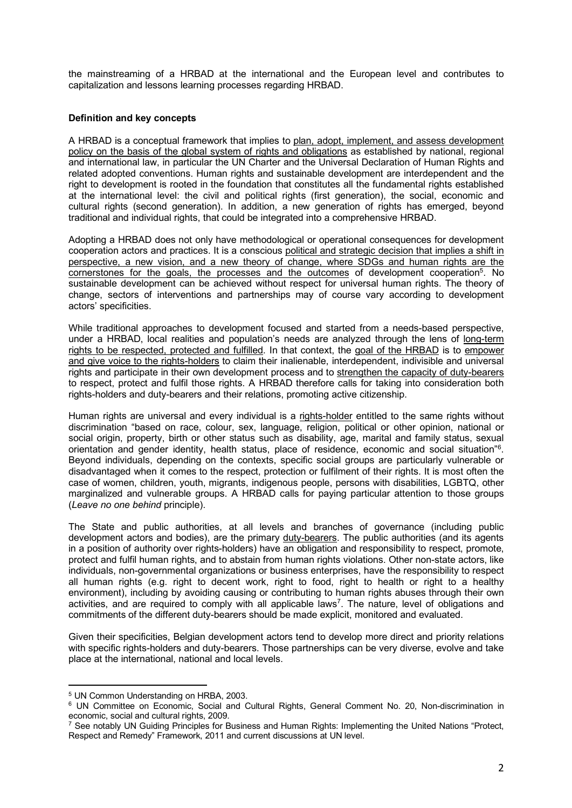the mainstreaming of a HRBAD at the international and the European level and contributes to capitalization and lessons learning processes regarding HRBAD.

## **Definition and key concepts**

A HRBAD is a conceptual framework that implies to plan, adopt, implement, and assess development policy on the basis of the global system of rights and obligations as established by national, regional and international law, in particular the UN Charter and the Universal Declaration of Human Rights and related adopted conventions. Human rights and sustainable development are interdependent and the right to development is rooted in the foundation that constitutes all the fundamental rights established at the international level: the civil and political rights (first generation), the social, economic and cultural rights (second generation). In addition, a new generation of rights has emerged, beyond traditional and individual rights, that could be integrated into a comprehensive HRBAD.

Adopting a HRBAD does not only have methodological or operational consequences for development cooperation actors and practices. It is a conscious political and strategic decision that implies a shift in perspective, a new vision, and a new theory of change, where SDGs and human rights are the cornerstones for the goals, the processes and the outcomes of development cooperation<sup>5</sup>. No sustainable development can be achieved without respect for universal human rights. The theory of change, sectors of interventions and partnerships may of course vary according to development actors' specificities.

While traditional approaches to development focused and started from a needs-based perspective, under a HRBAD, local realities and population's needs are analyzed through the lens of long-term rights to be respected, protected and fulfilled. In that context, the goal of the HRBAD is to empower and give voice to the rights-holders to claim their inalienable, interdependent, indivisible and universal rights and participate in their own development process and to strengthen the capacity of duty-bearers to respect, protect and fulfil those rights. A HRBAD therefore calls for taking into consideration both rights-holders and duty-bearers and their relations, promoting active citizenship.

Human rights are universal and every individual is a rights-holder entitled to the same rights without discrimination "based on race, colour, sex, language, religion, political or other opinion, national or social origin, property, birth or other status such as disability, age, marital and family status, sexual orientation and gender identity, health status, place of residence, economic and social situation"6. Beyond individuals, depending on the contexts, specific social groups are particularly vulnerable or disadvantaged when it comes to the respect, protection or fulfilment of their rights. It is most often the case of women, children, youth, migrants, indigenous people, persons with disabilities, LGBTQ, other marginalized and vulnerable groups. A HRBAD calls for paying particular attention to those groups (*Leave no one behind* principle).

The State and public authorities, at all levels and branches of governance (including public development actors and bodies), are the primary duty-bearers. The public authorities (and its agents in a position of authority over rights-holders) have an obligation and responsibility to respect, promote, protect and fulfil human rights, and to abstain from human rights violations. Other non-state actors, like individuals, non-governmental organizations or business enterprises, have the responsibility to respect all human rights (e.g. right to decent work, right to food, right to health or right to a healthy environment), including by avoiding causing or contributing to human rights abuses through their own activities, and are required to comply with all applicable laws<sup>7</sup>. The nature, level of obligations and commitments of the different duty-bearers should be made explicit, monitored and evaluated.

Given their specificities, Belgian development actors tend to develop more direct and priority relations with specific rights-holders and duty-bearers. Those partnerships can be very diverse, evolve and take place at the international, national and local levels.

 $\overline{a}$ 

<sup>5</sup> UN Common Understanding on HRBA, 2003.

<sup>6</sup> UN Committee on Economic, Social and Cultural Rights, General Comment No. 20, Non-discrimination in economic, social and cultural rights, 2009.

<sup>&</sup>lt;sup>7</sup> See notably UN Guiding Principles for Business and Human Rights: Implementing the United Nations "Protect, Respect and Remedy" Framework, 2011 and current discussions at UN level.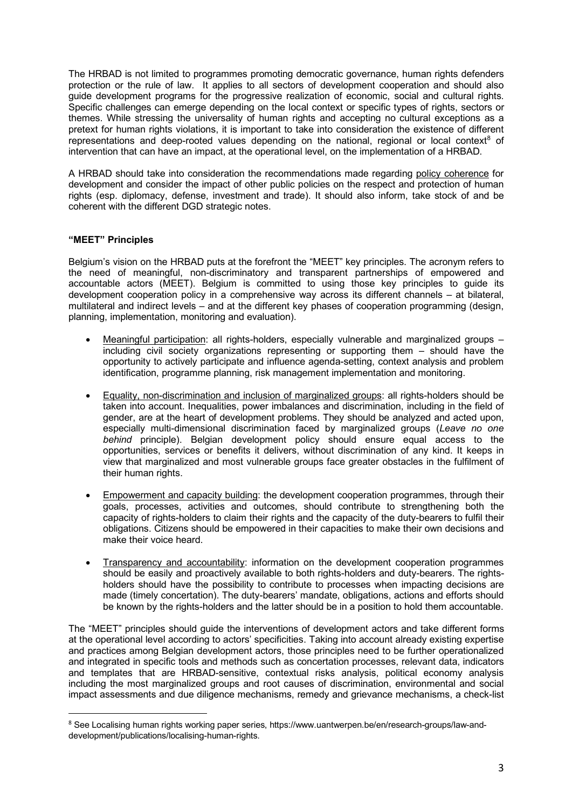The HRBAD is not limited to programmes promoting democratic governance, human rights defenders protection or the rule of law. It applies to all sectors of development cooperation and should also guide development programs for the progressive realization of economic, social and cultural rights. Specific challenges can emerge depending on the local context or specific types of rights, sectors or themes. While stressing the universality of human rights and accepting no cultural exceptions as a pretext for human rights violations, it is important to take into consideration the existence of different representations and deep-rooted values depending on the national, regional or local context<sup>8</sup> of intervention that can have an impact, at the operational level, on the implementation of a HRBAD.

A HRBAD should take into consideration the recommendations made regarding policy coherence for development and consider the impact of other public policies on the respect and protection of human rights (esp. diplomacy, defense, investment and trade). It should also inform, take stock of and be coherent with the different DGD strategic notes.

# **"MEET" Principles**

Belgium's vision on the HRBAD puts at the forefront the "MEET" key principles. The acronym refers to the need of meaningful, non-discriminatory and transparent partnerships of empowered and accountable actors (MEET). Belgium is committed to using those key principles to guide its development cooperation policy in a comprehensive way across its different channels – at bilateral, multilateral and indirect levels – and at the different key phases of cooperation programming (design, planning, implementation, monitoring and evaluation).

- Meaningful participation: all rights-holders, especially vulnerable and marginalized groups including civil society organizations representing or supporting them – should have the opportunity to actively participate and influence agenda-setting, context analysis and problem identification, programme planning, risk management implementation and monitoring.
- Equality, non-discrimination and inclusion of marginalized groups: all rights-holders should be taken into account. Inequalities, power imbalances and discrimination, including in the field of gender, are at the heart of development problems. They should be analyzed and acted upon, especially multi-dimensional discrimination faced by marginalized groups (*Leave no one behind* principle). Belgian development policy should ensure equal access to the opportunities, services or benefits it delivers, without discrimination of any kind. It keeps in view that marginalized and most vulnerable groups face greater obstacles in the fulfilment of their human rights.
- Empowerment and capacity building: the development cooperation programmes, through their goals, processes, activities and outcomes, should contribute to strengthening both the capacity of rights-holders to claim their rights and the capacity of the duty-bearers to fulfil their obligations. Citizens should be empowered in their capacities to make their own decisions and make their voice heard.
- Transparency and accountability: information on the development cooperation programmes should be easily and proactively available to both rights-holders and duty-bearers. The rightsholders should have the possibility to contribute to processes when impacting decisions are made (timely concertation). The duty-bearers' mandate, obligations, actions and efforts should be known by the rights-holders and the latter should be in a position to hold them accountable.

The "MEET" principles should guide the interventions of development actors and take different forms at the operational level according to actors' specificities. Taking into account already existing expertise and practices among Belgian development actors, those principles need to be further operationalized and integrated in specific tools and methods such as concertation processes, relevant data, indicators and templates that are HRBAD-sensitive, contextual risks analysis, political economy analysis including the most marginalized groups and root causes of discrimination, environmental and social impact assessments and due diligence mechanisms, remedy and grievance mechanisms, a check-list

<sup>&</sup>lt;sup>8</sup> See Localising human rights working paper series, https://www.uantwerpen.be/en/research-groups/law-anddevelopment/publications/localising-human-rights.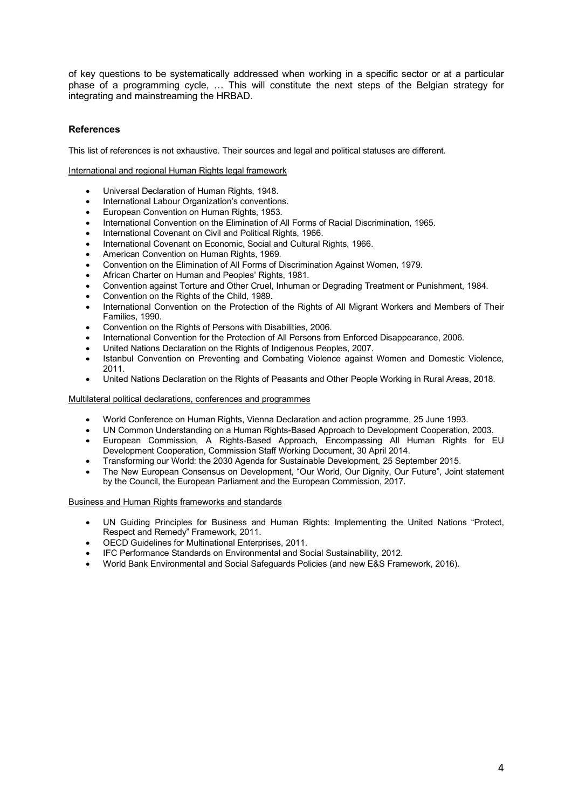of key questions to be systematically addressed when working in a specific sector or at a particular phase of a programming cycle, … This will constitute the next steps of the Belgian strategy for integrating and mainstreaming the HRBAD.

# **References**

This list of references is not exhaustive. Their sources and legal and political statuses are different.

## International and regional Human Rights legal framework

- Universal Declaration of Human Rights, 1948.
- International Labour Organization's conventions.
- European Convention on Human Rights, 1953.
- International Convention on the Elimination of All Forms of Racial Discrimination, 1965.
- International Covenant on Civil and Political Rights, 1966.
- International Covenant on Economic, Social and Cultural Rights, 1966.
- American Convention on Human Rights, 1969.
- Convention on the Elimination of All Forms of Discrimination Against Women, 1979.
- African Charter on Human and Peoples' Rights, 1981.
- Convention against Torture and Other Cruel, Inhuman or Degrading Treatment or Punishment, 1984.
- Convention on the Rights of the Child, 1989.
- International Convention on the Protection of the Rights of All Migrant Workers and Members of Their Families, 1990.
- Convention on the Rights of Persons with Disabilities, 2006.
- International Convention for the Protection of All Persons from Enforced Disappearance, 2006.
- United Nations Declaration on the Rights of Indigenous Peoples, 2007.
- Istanbul Convention on Preventing and Combating Violence against Women and Domestic Violence, 2011.
- United Nations Declaration on the Rights of Peasants and Other People Working in Rural Areas, 2018.

#### Multilateral political declarations, conferences and programmes

- World Conference on Human Rights, Vienna Declaration and action programme, 25 June 1993.
- UN Common Understanding on a Human Rights-Based Approach to Development Cooperation, 2003.
- European Commission, A Rights-Based Approach, Encompassing All Human Rights for EU Development Cooperation, Commission Staff Working Document, 30 April 2014.
- Transforming our World: the 2030 Agenda for Sustainable Development, 25 September 2015.
- The New European Consensus on Development, "Our World, Our Dignity, Our Future", Joint statement by the Council, the European Parliament and the European Commission, 2017.

#### Business and Human Rights frameworks and standards

- UN Guiding Principles for Business and Human Rights: Implementing the United Nations "Protect, Respect and Remedy" Framework, 2011.
- OECD Guidelines for Multinational Enterprises, 2011.
- IFC Performance Standards on Environmental and Social Sustainability, 2012.
- World Bank Environmental and Social Safeguards Policies (and new E&S Framework, 2016).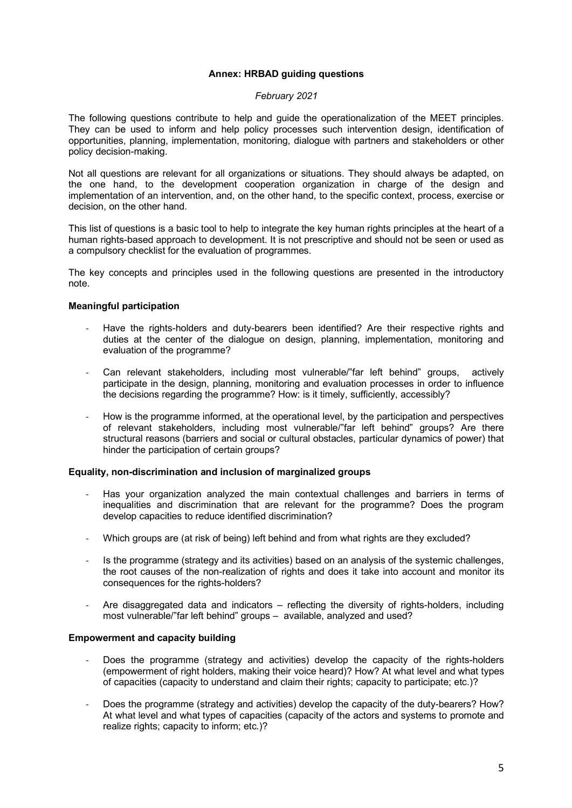## **Annex: HRBAD guiding questions**

## *February 2021*

The following questions contribute to help and guide the operationalization of the MEET principles. They can be used to inform and help policy processes such intervention design, identification of opportunities, planning, implementation, monitoring, dialogue with partners and stakeholders or other policy decision-making.

Not all questions are relevant for all organizations or situations. They should always be adapted, on the one hand, to the development cooperation organization in charge of the design and implementation of an intervention, and, on the other hand, to the specific context, process, exercise or decision, on the other hand.

This list of questions is a basic tool to help to integrate the key human rights principles at the heart of a human rights-based approach to development. It is not prescriptive and should not be seen or used as a compulsory checklist for the evaluation of programmes.

The key concepts and principles used in the following questions are presented in the introductory note.

## **Meaningful participation**

- Have the rights-holders and duty-bearers been identified? Are their respective rights and duties at the center of the dialogue on design, planning, implementation, monitoring and evaluation of the programme?
- Can relevant stakeholders, including most vulnerable/"far left behind" groups, actively participate in the design, planning, monitoring and evaluation processes in order to influence the decisions regarding the programme? How: is it timely, sufficiently, accessibly?
- How is the programme informed, at the operational level, by the participation and perspectives of relevant stakeholders, including most vulnerable/"far left behind" groups? Are there structural reasons (barriers and social or cultural obstacles, particular dynamics of power) that hinder the participation of certain groups?

## **Equality, non-discrimination and inclusion of marginalized groups**

- Has your organization analyzed the main contextual challenges and barriers in terms of inequalities and discrimination that are relevant for the programme? Does the program develop capacities to reduce identified discrimination?
- Which groups are (at risk of being) left behind and from what rights are they excluded?
- Is the programme (strategy and its activities) based on an analysis of the systemic challenges, the root causes of the non-realization of rights and does it take into account and monitor its consequences for the rights-holders?
- Are disaggregated data and indicators reflecting the diversity of rights-holders, including most vulnerable/"far left behind" groups – available, analyzed and used?

## **Empowerment and capacity building**

- Does the programme (strategy and activities) develop the capacity of the rights-holders (empowerment of right holders, making their voice heard)? How? At what level and what types of capacities (capacity to understand and claim their rights; capacity to participate; etc.)?
- Does the programme (strategy and activities) develop the capacity of the duty-bearers? How? At what level and what types of capacities (capacity of the actors and systems to promote and realize rights; capacity to inform; etc.)?